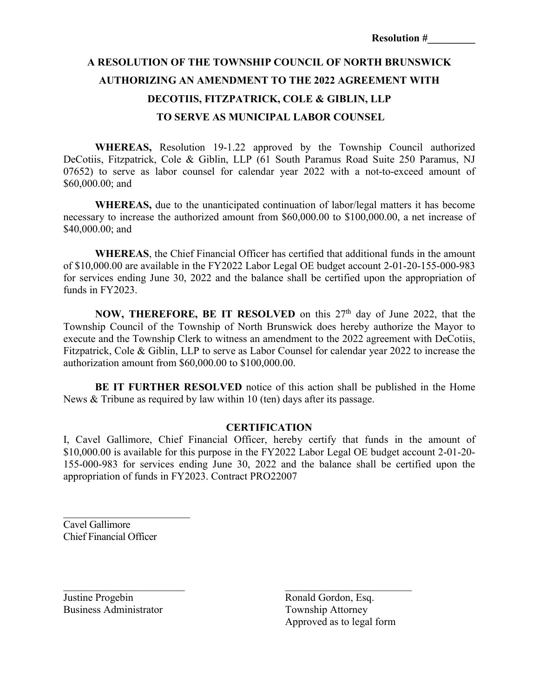## **A RESOLUTION OF THE TOWNSHIP COUNCIL OF NORTH BRUNSWICK AUTHORIZING AN AMENDMENT TO THE 2022 AGREEMENT WITH DECOTIIS, FITZPATRICK, COLE & GIBLIN, LLP TO SERVE AS MUNICIPAL LABOR COUNSEL**

**WHEREAS,** Resolution 19-1.22 approved by the Township Council authorized DeCotiis, Fitzpatrick, Cole & Giblin, LLP (61 South Paramus Road Suite 250 Paramus, NJ 07652) to serve as labor counsel for calendar year 2022 with a not-to-exceed amount of \$60,000.00; and

**WHEREAS,** due to the unanticipated continuation of labor/legal matters it has become necessary to increase the authorized amount from \$60,000.00 to \$100,000.00, a net increase of \$40,000.00; and

**WHEREAS**, the Chief Financial Officer has certified that additional funds in the amount of \$10,000.00 are available in the FY2022 Labor Legal OE budget account 2-01-20-155-000-983 for services ending June 30, 2022 and the balance shall be certified upon the appropriation of funds in FY2023.

**NOW, THEREFORE, BE IT RESOLVED** on this 27<sup>th</sup> day of June 2022, that the Township Council of the Township of North Brunswick does hereby authorize the Mayor to execute and the Township Clerk to witness an amendment to the 2022 agreement with DeCotiis, Fitzpatrick, Cole & Giblin, LLP to serve as Labor Counsel for calendar year 2022 to increase the authorization amount from \$60,000.00 to \$100,000.00.

**BE IT FURTHER RESOLVED** notice of this action shall be published in the Home News & Tribune as required by law within 10 (ten) days after its passage.

## **CERTIFICATION**

I, Cavel Gallimore, Chief Financial Officer, hereby certify that funds in the amount of \$10,000.00 is available for this purpose in the FY2022 Labor Legal OE budget account 2-01-20- 155-000-983 for services ending June 30, 2022 and the balance shall be certified upon the appropriation of funds in FY2023. Contract PRO22007

\_\_\_\_\_\_\_\_\_\_\_\_\_\_\_\_\_\_\_\_\_\_\_ \_\_\_\_\_\_\_\_\_\_\_\_\_\_\_\_\_\_\_\_\_\_\_\_

Cavel Gallimore Chief Financial Officer

 $\overline{\phantom{a}}$  , which is a set of the set of the set of the set of the set of the set of the set of the set of the set of the set of the set of the set of the set of the set of the set of the set of the set of the set of th

Justine Progebin Ronald Gordon, Esq. Business Administrator Township Attorney

Approved as to legal form